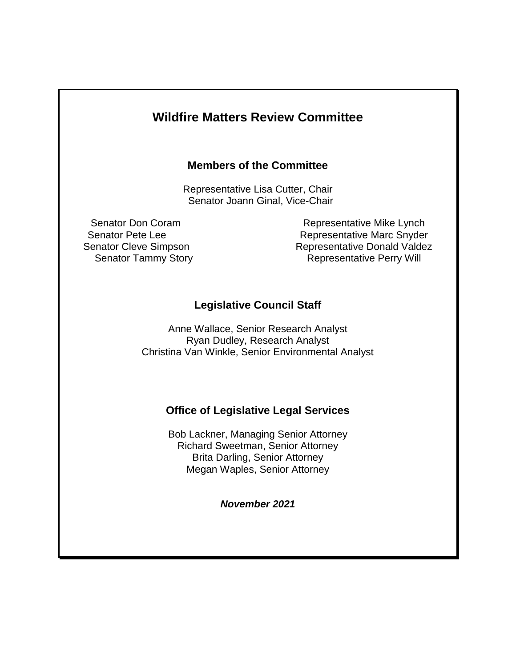# **Wildfire Matters Review Committee**

#### **Members of the Committee**

Representative Lisa Cutter, Chair Senator Joann Ginal, Vice-Chair

Senator Don Coram **Representative Mike Lynch** Senator Pete Lee **Representative Marc Snyder** Senator Cleve Simpson Representative Donald Valdez Senator Tammy Story **Representative Perry Will** 

## **Legislative Council Staff**

Anne Wallace, Senior Research Analyst Ryan Dudley, Research Analyst Christina Van Winkle, Senior Environmental Analyst

### **Office of Legislative Legal Services**

Bob Lackner, Managing Senior Attorney Richard Sweetman, Senior Attorney Brita Darling, Senior Attorney Megan Waples, Senior Attorney

*November 2021*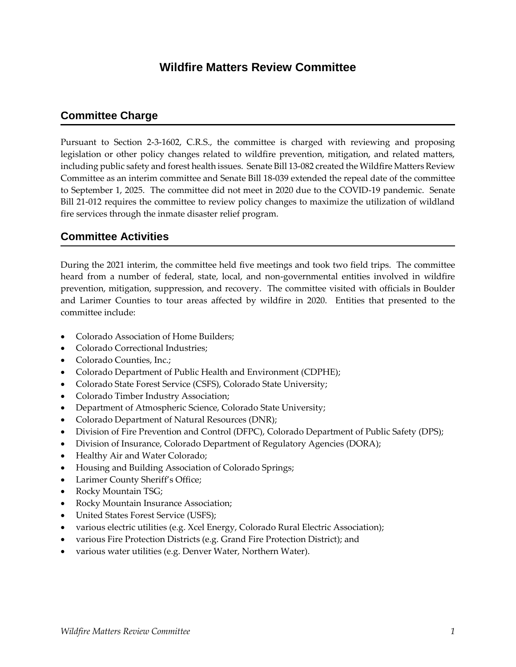# **Wildfire Matters Review Committee**

### **Committee Charge**

Pursuant to Section 2-3-1602, C.R.S., the committee is charged with reviewing and proposing legislation or other policy changes related to wildfire prevention, mitigation, and related matters, including public safety and forest health issues. Senate Bill 13-082 created the Wildfire Matters Review Committee as an interim committee and Senate Bill 18-039 extended the repeal date of the committee to September 1, 2025. The committee did not meet in 2020 due to the COVID-19 pandemic. Senate Bill 21-012 requires the committee to review policy changes to maximize the utilization of wildland fire services through the inmate disaster relief program.

### **Committee Activities**

During the 2021 interim, the committee held five meetings and took two field trips. The committee heard from a number of federal, state, local, and non-governmental entities involved in wildfire prevention, mitigation, suppression, and recovery. The committee visited with officials in Boulder and Larimer Counties to tour areas affected by wildfire in 2020. Entities that presented to the committee include:

- Colorado Association of Home Builders;
- Colorado Correctional Industries;
- Colorado Counties, Inc.:
- Colorado Department of Public Health and Environment (CDPHE);
- Colorado State Forest Service (CSFS), Colorado State University;
- Colorado Timber Industry Association;
- Department of Atmospheric Science, Colorado State University;
- Colorado Department of Natural Resources (DNR);
- Division of Fire Prevention and Control (DFPC), Colorado Department of Public Safety (DPS);
- Division of Insurance, Colorado Department of Regulatory Agencies (DORA);
- Healthy Air and Water Colorado;
- Housing and Building Association of Colorado Springs;
- Larimer County Sheriff's Office;
- Rocky Mountain TSG;
- Rocky Mountain Insurance Association;
- United States Forest Service (USFS);
- various electric utilities (e.g. Xcel Energy, Colorado Rural Electric Association);
- various Fire Protection Districts (e.g. Grand Fire Protection District); and
- various water utilities (e.g. Denver Water, Northern Water).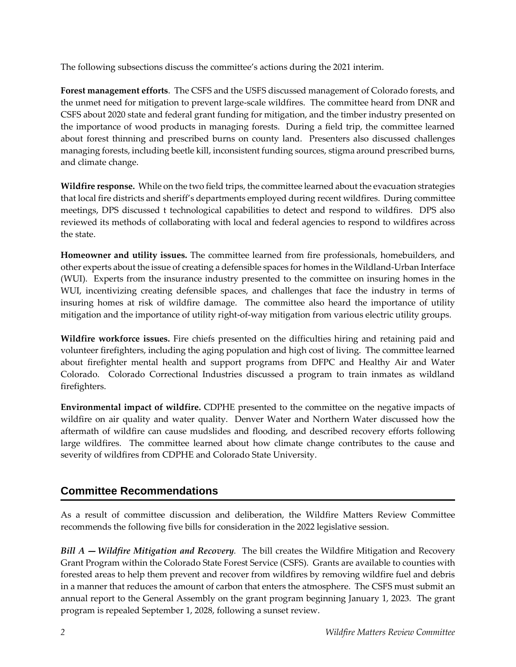The following subsections discuss the committee's actions during the 2021 interim.

**Forest management efforts**. The CSFS and the USFS discussed management of Colorado forests, and the unmet need for mitigation to prevent large-scale wildfires. The committee heard from DNR and CSFS about 2020 state and federal grant funding for mitigation, and the timber industry presented on the importance of wood products in managing forests. During a field trip, the committee learned about forest thinning and prescribed burns on county land. Presenters also discussed challenges managing forests, including beetle kill, inconsistent funding sources, stigma around prescribed burns, and climate change.

**Wildfire response.** While on the two field trips, the committee learned about the evacuation strategies that local fire districts and sheriff's departments employed during recent wildfires. During committee meetings, DPS discussed t technological capabilities to detect and respond to wildfires. DPS also reviewed its methods of collaborating with local and federal agencies to respond to wildfires across the state.

**Homeowner and utility issues.** The committee learned from fire professionals, homebuilders, and other experts about the issue of creating a defensible spaces for homes in the Wildland-Urban Interface (WUI). Experts from the insurance industry presented to the committee on insuring homes in the WUI, incentivizing creating defensible spaces, and challenges that face the industry in terms of insuring homes at risk of wildfire damage. The committee also heard the importance of utility mitigation and the importance of utility right-of-way mitigation from various electric utility groups.

**Wildfire workforce issues.** Fire chiefs presented on the difficulties hiring and retaining paid and volunteer firefighters, including the aging population and high cost of living. The committee learned about firefighter mental health and support programs from DFPC and Healthy Air and Water Colorado. Colorado Correctional Industries discussed a program to train inmates as wildland firefighters.

**Environmental impact of wildfire.** CDPHE presented to the committee on the negative impacts of wildfire on air quality and water quality. Denver Water and Northern Water discussed how the aftermath of wildfire can cause mudslides and flooding, and described recovery efforts following large wildfires. The committee learned about how climate change contributes to the cause and severity of wildfires from CDPHE and Colorado State University.

## **Committee Recommendations**

As a result of committee discussion and deliberation, the Wildfire Matters Review Committee recommends the following five bills for consideration in the 2022 legislative session.

*Bill A* – *Wildfire Mitigation and Recovery*. The bill creates the Wildfire Mitigation and Recovery Grant Program within the Colorado State Forest Service (CSFS). Grants are available to counties with forested areas to help them prevent and recover from wildfires by removing wildfire fuel and debris in a manner that reduces the amount of carbon that enters the atmosphere. The CSFS must submit an annual report to the General Assembly on the grant program beginning January 1, 2023. The grant program is repealed September 1, 2028, following a sunset review.